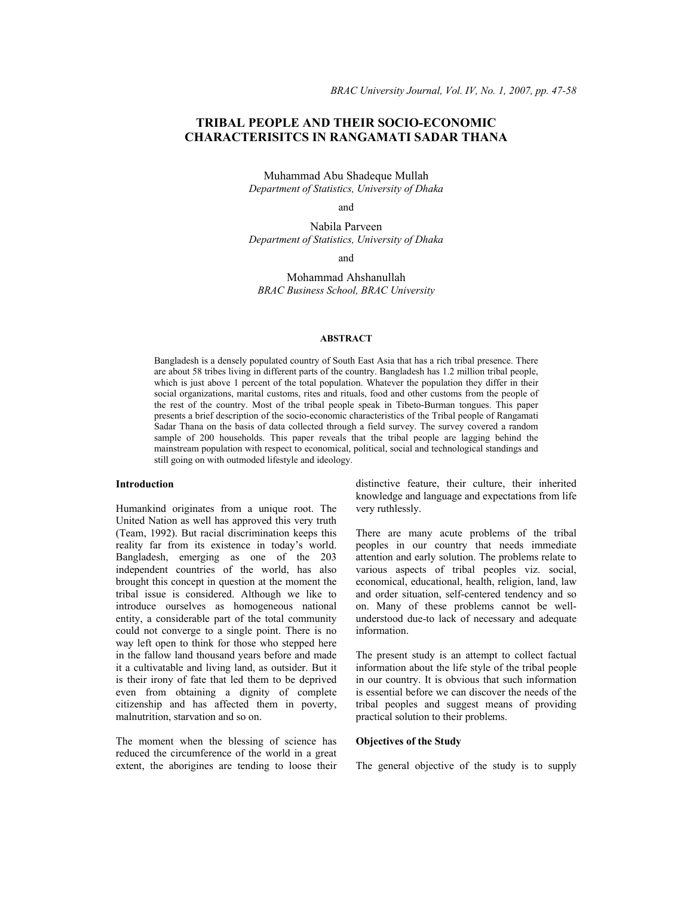# **TRIBAL PEOPLE AND THEIR SOCIO-ECONOMIC CHARACTERISITCS IN RANGAMATI SADAR THANA**

Muhammad Abu Shadeque Mullah *Department of Statistics, University of Dhaka* 

and

Nabila Parveen *Department of Statistics, University of Dhaka* 

and

Mohammad Ahshanullah *BRAC Business School, BRAC University* 

### **ABSTRACT**

Bangladesh is a densely populated country of South East Asia that has a rich tribal presence. There are about 58 tribes living in different parts of the country. Bangladesh has 1.2 million tribal people, which is just above 1 percent of the total population. Whatever the population they differ in their social organizations, marital customs, rites and rituals, food and other customs from the people of the rest of the country. Most of the tribal people speak in Tibeto-Burman tongues. This paper presents a brief description of the socio-economic characteristics of the Tribal people of Rangamati Sadar Thana on the basis of data collected through a field survey. The survey covered a random sample of 200 households. This paper reveals that the tribal people are lagging behind the mainstream population with respect to economical, political, social and technological standings and still going on with outmoded lifestyle and ideology.

### **Introduction**

Humankind originates from a unique root. The United Nation as well has approved this very truth (Team, 1992). But racial discrimination keeps this reality far from its existence in today's world. Bangladesh, emerging as one of the 203 independent countries of the world, has also brought this concept in question at the moment the tribal issue is considered. Although we like to introduce ourselves as homogeneous national entity, a considerable part of the total community could not converge to a single point. There is no way left open to think for those who stepped here in the fallow land thousand years before and made it a cultivatable and living land, as outsider. But it is their irony of fate that led them to be deprived even from obtaining a dignity of complete citizenship and has affected them in poverty, malnutrition, starvation and so on.

The moment when the blessing of science has reduced the circumference of the world in a great extent, the aborigines are tending to loose their distinctive feature, their culture, their inherited knowledge and language and expectations from life very ruthlessly.

There are many acute problems of the tribal peoples in our country that needs immediate attention and early solution. The problems relate to various aspects of tribal peoples viz. social, economical, educational, health, religion, land, law and order situation, self-centered tendency and so on. Many of these problems cannot be wellunderstood due-to lack of necessary and adequate information.

The present study is an attempt to collect factual information about the life style of the tribal people in our country. It is obvious that such information is essential before we can discover the needs of the tribal peoples and suggest means of providing practical solution to their problems.

### **Objectives of the Study**

The general objective of the study is to supply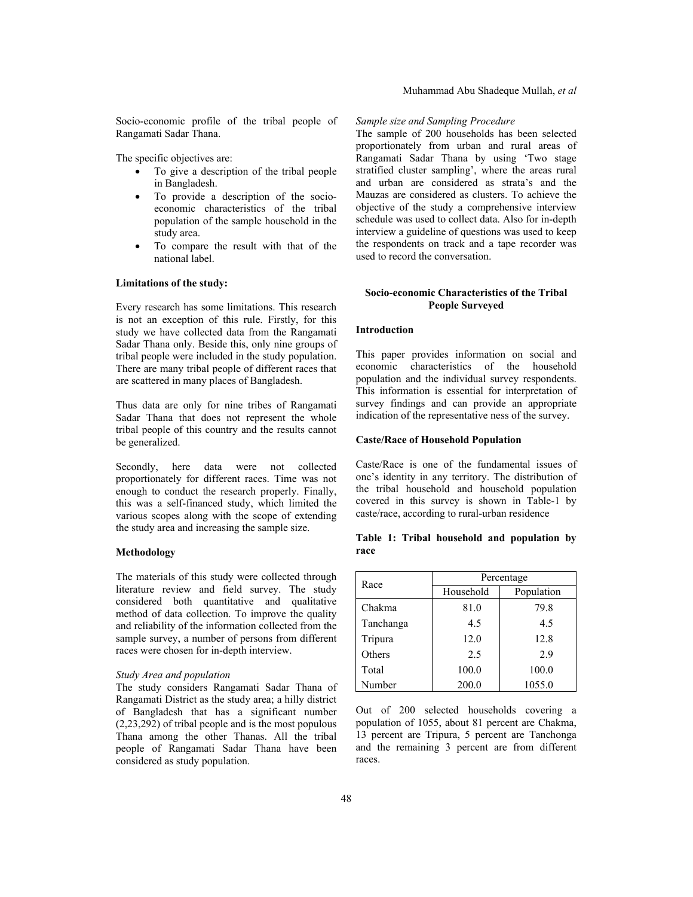Socio-economic profile of the tribal people of Rangamati Sadar Thana.

The specific objectives are:

- To give a description of the tribal people in Bangladesh.
- To provide a description of the socioeconomic characteristics of the tribal population of the sample household in the study area.
- To compare the result with that of the national label.

### **Limitations of the study:**

Every research has some limitations. This research is not an exception of this rule. Firstly, for this study we have collected data from the Rangamati Sadar Thana only. Beside this, only nine groups of tribal people were included in the study population. There are many tribal people of different races that are scattered in many places of Bangladesh.

Thus data are only for nine tribes of Rangamati Sadar Thana that does not represent the whole tribal people of this country and the results cannot be generalized.

Secondly, here data were not collected proportionately for different races. Time was not enough to conduct the research properly. Finally, this was a self-financed study, which limited the various scopes along with the scope of extending the study area and increasing the sample size.

#### **Methodology**

The materials of this study were collected through literature review and field survey. The study considered both quantitative and qualitative method of data collection. To improve the quality and reliability of the information collected from the sample survey, a number of persons from different races were chosen for in-depth interview.

### *Study Area and population*

The study considers Rangamati Sadar Thana of Rangamati District as the study area; a hilly district of Bangladesh that has a significant number (2,23,292) of tribal people and is the most populous Thana among the other Thanas. All the tribal people of Rangamati Sadar Thana have been considered as study population.

#### *Sample size and Sampling Procedure*

The sample of 200 households has been selected proportionately from urban and rural areas of Rangamati Sadar Thana by using 'Two stage stratified cluster sampling', where the areas rural and urban are considered as strata's and the Mauzas are considered as clusters. To achieve the objective of the study a comprehensive interview schedule was used to collect data. Also for in-depth interview a guideline of questions was used to keep the respondents on track and a tape recorder was used to record the conversation.

## **Socio-economic Characteristics of the Tribal People Surveyed**

## **Introduction**

This paper provides information on social and economic characteristics of the household population and the individual survey respondents. This information is essential for interpretation of survey findings and can provide an appropriate indication of the representative ness of the survey.

#### **Caste/Race of Household Population**

Caste/Race is one of the fundamental issues of one's identity in any territory. The distribution of the tribal household and household population covered in this survey is shown in Table-1 by caste/race, according to rural-urban residence

**Table 1: Tribal household and population by race** 

| Race      | Percentage |            |  |  |  |
|-----------|------------|------------|--|--|--|
|           | Household  | Population |  |  |  |
| Chakma    | 81.0       | 79.8       |  |  |  |
| Tanchanga | 4.5        | 4.5        |  |  |  |
| Tripura   | 12.0       | 12.8       |  |  |  |
| Others    | 2.5        | 2.9        |  |  |  |
| Total     | 100.0      | 100.0      |  |  |  |
| Number    | 200.0      | 1055.0     |  |  |  |

Out of 200 selected households covering a population of 1055, about 81 percent are Chakma, 13 percent are Tripura, 5 percent are Tanchonga and the remaining 3 percent are from different races.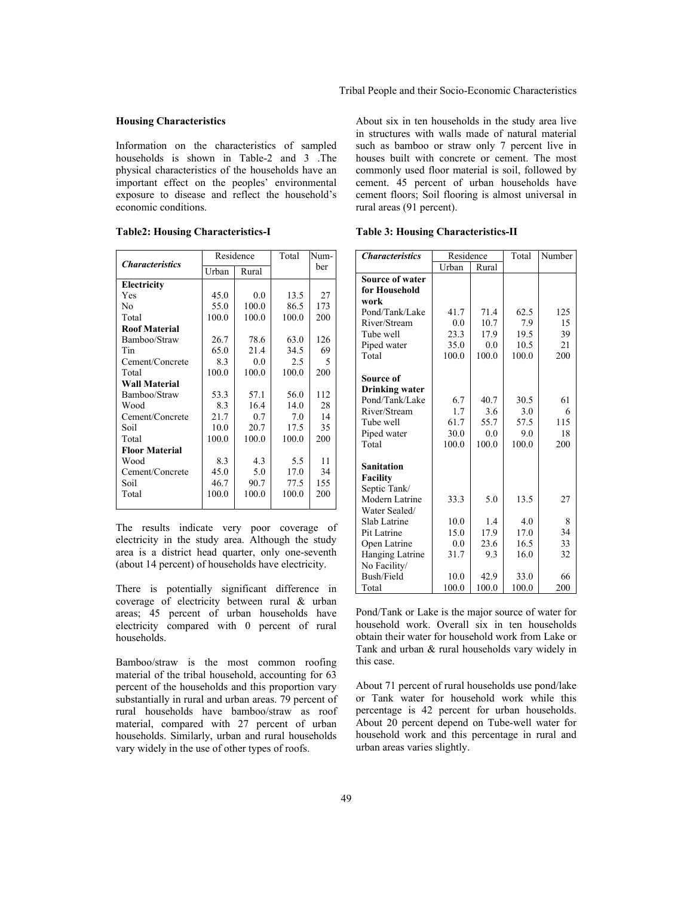### **Housing Characteristics**

Information on the characteristics of sampled households is shown in Table-2 and 3 .The physical characteristics of the households have an important effect on the peoples' environmental exposure to disease and reflect the household's economic conditions.

|                        |       | Residence | Total | Num- |
|------------------------|-------|-----------|-------|------|
| <b>Characteristics</b> | Urban | Rural     |       | ber  |
| Electricity            |       |           |       |      |
| Yes                    | 45.0  | 0.0       | 13.5  | 27   |
| No                     | 55.0  | 100.0     | 86.5  | 173  |
| Total                  | 100.0 | 100.0     | 100.0 | 200  |
| <b>Roof Material</b>   |       |           |       |      |
| Bamboo/Straw           | 26.7  | 78.6      | 63.0  | 126  |
| Tin                    | 65.0  | 21.4      | 34.5  | 69   |
| Cement/Concrete        | 8.3   | 0.0       | 2.5   | 5    |
| Total                  | 100.0 | 100.0     | 100.0 | 200  |
| <b>Wall Material</b>   |       |           |       |      |
| Bamboo/Straw           | 53.3  | 57.1      | 56.0  | 112  |
| Wood                   | 8.3   | 16.4      | 14.0  | 28   |
| Cement/Concrete        | 21.7  | 0.7       | 7.0   | 14   |
| Soil                   | 10.0  | 20.7      | 17.5  | 35   |
| Total                  | 100.0 | 100.0     | 100.0 | 200  |
| <b>Floor Material</b>  |       |           |       |      |
| Wood                   | 8.3   | 4.3       | 5.5   | 11   |
| Cement/Concrete        | 45.0  | 5.0       | 17.0  | 34   |
| Soil                   | 46.7  | 90.7      | 77.5  | 155  |
| Total                  | 100.0 | 100.0     | 100.0 | 200  |
|                        |       |           |       |      |

**Table2: Housing Characteristics-I** 

The results indicate very poor coverage of electricity in the study area. Although the study area is a district head quarter, only one-seventh (about 14 percent) of households have electricity.

There is potentially significant difference in coverage of electricity between rural & urban areas; 45 percent of urban households have electricity compared with 0 percent of rural households.

Bamboo/straw is the most common roofing material of the tribal household, accounting for 63 percent of the households and this proportion vary substantially in rural and urban areas. 79 percent of rural households have bamboo/straw as roof material, compared with 27 percent of urban households. Similarly, urban and rural households vary widely in the use of other types of roofs.

About six in ten households in the study area live in structures with walls made of natural material such as bamboo or straw only 7 percent live in houses built with concrete or cement. The most commonly used floor material is soil, followed by cement. 45 percent of urban households have cement floors; Soil flooring is almost universal in rural areas (91 percent).

**Table 3: Housing Characteristics-II** 

| <b>Characteristics</b> | Residence |       | Total | Number |
|------------------------|-----------|-------|-------|--------|
|                        | Urban     | Rural |       |        |
| <b>Source of water</b> |           |       |       |        |
| for Household          |           |       |       |        |
| work                   |           |       |       |        |
| Pond/Tank/Lake         | 41.7      | 71.4  | 62.5  | 125    |
| River/Stream           | 0.0       | 10.7  | 7.9   | 15     |
| Tube well              | 23.3      | 17.9  | 19.5  | 39     |
| Piped water            | 35.0      | 0.0   | 10.5  | 21     |
| Total                  | 100.0     | 100.0 | 100.0 | 200    |
|                        |           |       |       |        |
| Source of              |           |       |       |        |
| Drinking water         |           |       |       |        |
| Pond/Tank/Lake         | 6.7       | 40.7  | 30.5  | 61     |
| River/Stream           | 1.7       | 3.6   | 3.0   | 6      |
| Tube well              | 61.7      | 55.7  | 57.5  | 115    |
| Piped water            | 30.0      | 0.0   | 9.0   | 18     |
| Total                  | 100.0     | 100.0 | 100.0 | 200    |
|                        |           |       |       |        |
| Sanitation             |           |       |       |        |
| <b>Facility</b>        |           |       |       |        |
| Septic Tank/           |           |       |       |        |
| Modern Latrine         | 33.3      | 5.0   | 13.5  | 27     |
| Water Sealed/          |           |       |       |        |
| Slab Latrine           | 10.0      | 1.4   | 4.0   | 8      |
| Pit Latrine            | 15.0      | 17.9  | 17.0  | 34     |
| Open Latrine           | 0.0       | 23.6  | 16.5  | 33     |
| Hanging Latrine        | 31.7      | 9.3   | 16.0  | 32     |
| No Facility/           |           |       |       |        |
| Bush/Field             | 10.0      | 42.9  | 33.0  | 66     |
| Total                  | 100.0     | 100.0 | 100.0 | 200    |

Pond/Tank or Lake is the major source of water for household work. Overall six in ten households obtain their water for household work from Lake or Tank and urban & rural households vary widely in this case.

About 71 percent of rural households use pond/lake or Tank water for household work while this percentage is 42 percent for urban households. About 20 percent depend on Tube-well water for household work and this percentage in rural and urban areas varies slightly.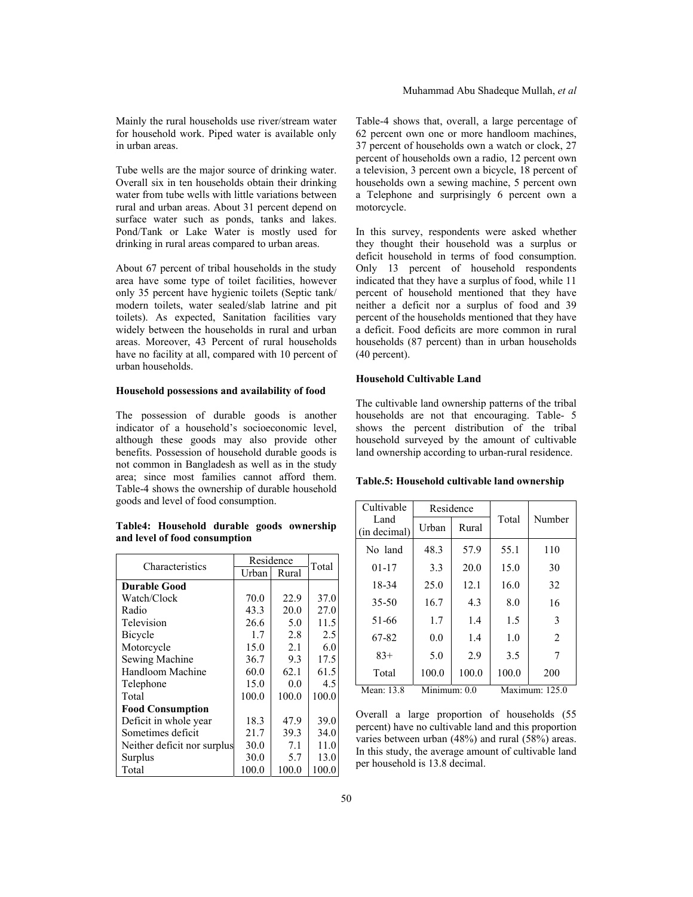Tube wells are the major source of drinking water. Overall six in ten households obtain their drinking water from tube wells with little variations between rural and urban areas. About 31 percent depend on surface water such as ponds, tanks and lakes. Pond/Tank or Lake Water is mostly used for drinking in rural areas compared to urban areas.

About 67 percent of tribal households in the study area have some type of toilet facilities, however only 35 percent have hygienic toilets (Septic tank/ modern toilets, water sealed/slab latrine and pit toilets). As expected, Sanitation facilities vary widely between the households in rural and urban areas. Moreover, 43 Percent of rural households have no facility at all, compared with 10 percent of urban households.

#### **Household possessions and availability of food**

The possession of durable goods is another indicator of a household's socioeconomic level, although these goods may also provide other benefits. Possession of household durable goods is not common in Bangladesh as well as in the study area; since most families cannot afford them. Table-4 shows the ownership of durable household goods and level of food consumption.

### **Table4: Household durable goods ownership and level of food consumption**

| Characteristics             | Residence |       | Total |
|-----------------------------|-----------|-------|-------|
|                             | Urban     | Rural |       |
| <b>Durable Good</b>         |           |       |       |
| Watch/Clock                 | 70.0      | 22.9  | 37.0  |
| Radio                       | 43.3      | 20.0  | 27.0  |
| Television                  | 26.6      | 5.0   | 11.5  |
| Bicycle                     | 1.7       | 2.8   | 2.5   |
| Motorcycle                  | 15.0      | 2.1   | 6.0   |
| Sewing Machine              | 36.7      | 9.3   | 17.5  |
| Handloom Machine            | 60.0      | 62.1  | 61.5  |
| Telephone                   | 15.0      | 0.0   | 4.5   |
| Total                       | 100.0     | 100.0 | 100.0 |
| <b>Food Consumption</b>     |           |       |       |
| Deficit in whole year       | 18.3      | 47.9  | 39.0  |
| Sometimes deficit           | 21.7      | 39.3  | 34.0  |
| Neither deficit nor surplus | 30.0      | 7.1   | 11.0  |
| Surplus                     | 30.0      | 5.7   | 13.0  |
| Total                       | 100.0     | 100.0 | 100.0 |

Table-4 shows that, overall, a large percentage of 62 percent own one or more handloom machines, 37 percent of households own a watch or clock, 27 percent of households own a radio, 12 percent own a television, 3 percent own a bicycle, 18 percent of households own a sewing machine, 5 percent own a Telephone and surprisingly 6 percent own a motorcycle.

In this survey, respondents were asked whether they thought their household was a surplus or deficit household in terms of food consumption. Only 13 percent of household respondents indicated that they have a surplus of food, while 11 percent of household mentioned that they have neither a deficit nor a surplus of food and 39 percent of the households mentioned that they have a deficit. Food deficits are more common in rural households (87 percent) than in urban households (40 percent).

### **Household Cultivable Land**

The cultivable land ownership patterns of the tribal households are not that encouraging. Table- 5 shows the percent distribution of the tribal household surveyed by the amount of cultivable land ownership according to urban-rural residence.

### **Table.5: Household cultivable land ownership**

| Cultivable   | Residence    |       |       |                |
|--------------|--------------|-------|-------|----------------|
| Land         | Urban        | Rural | Total | Number         |
| (in decimal) |              |       |       |                |
| No land      | 48.3         | 57.9  | 55.1  | 110            |
| $01 - 17$    | 3.3          | 20.0  | 15.0  | 30             |
| 18-34        | 25.0         | 12.1  | 16.0  | 32             |
| 35-50        | 16.7         | 4.3   | 8.0   | 16             |
| 51-66        | 1.7          | 1.4   | 1.5   | 3              |
| 67-82        | 0.0          | 1.4   | 1.0   | $\overline{2}$ |
| $83+$        | 5.0          | 2.9   | 3.5   | 7              |
| Total        | 100.0        | 100.0 | 100.0 | 200            |
| Mean: 13.8   | Minimum: 0.0 |       |       | Maximum: 125.0 |

Overall a large proportion of households (55 percent) have no cultivable land and this proportion varies between urban (48%) and rural (58%) areas. In this study, the average amount of cultivable land per household is 13.8 decimal.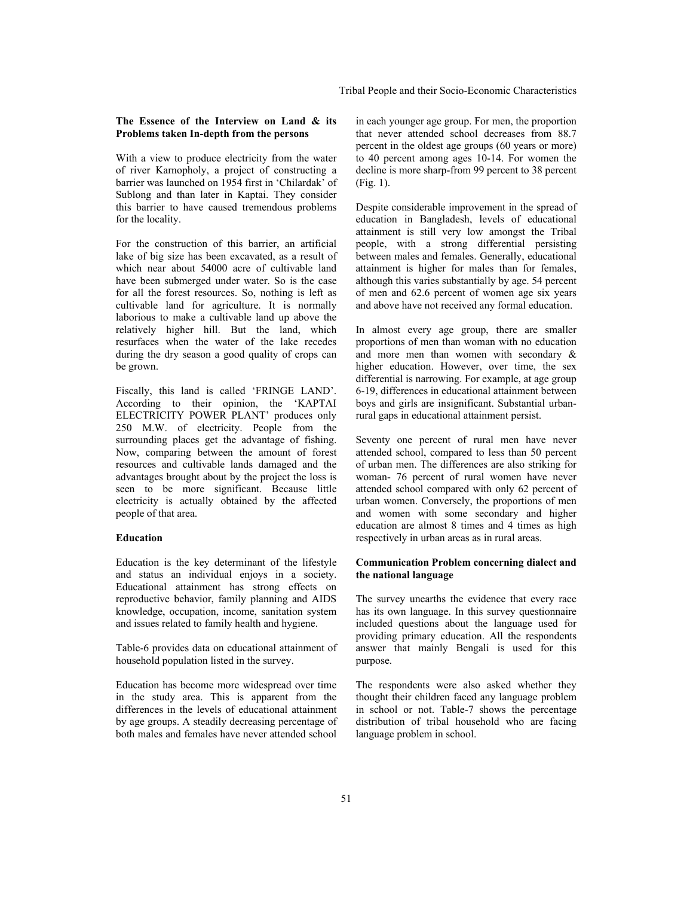## **The Essence of the Interview on Land & its Problems taken In-depth from the persons**

With a view to produce electricity from the water of river Karnopholy, a project of constructing a barrier was launched on 1954 first in 'Chilardak' of Sublong and than later in Kaptai. They consider this barrier to have caused tremendous problems for the locality.

For the construction of this barrier, an artificial lake of big size has been excavated, as a result of which near about 54000 acre of cultivable land have been submerged under water. So is the case for all the forest resources. So, nothing is left as cultivable land for agriculture. It is normally laborious to make a cultivable land up above the relatively higher hill. But the land, which resurfaces when the water of the lake recedes during the dry season a good quality of crops can be grown.

Fiscally, this land is called 'FRINGE LAND'. According to their opinion, the 'KAPTAI ELECTRICITY POWER PLANT' produces only 250 M.W. of electricity. People from the surrounding places get the advantage of fishing. Now, comparing between the amount of forest resources and cultivable lands damaged and the advantages brought about by the project the loss is seen to be more significant. Because little electricity is actually obtained by the affected people of that area.

### **Education**

Education is the key determinant of the lifestyle and status an individual enjoys in a society. Educational attainment has strong effects on reproductive behavior, family planning and AIDS knowledge, occupation, income, sanitation system and issues related to family health and hygiene.

Table-6 provides data on educational attainment of household population listed in the survey.

Education has become more widespread over time in the study area. This is apparent from the differences in the levels of educational attainment by age groups. A steadily decreasing percentage of both males and females have never attended school

in each younger age group. For men, the proportion that never attended school decreases from 88.7 percent in the oldest age groups (60 years or more) to 40 percent among ages 10-14. For women the decline is more sharp-from 99 percent to 38 percent (Fig. 1).

Despite considerable improvement in the spread of education in Bangladesh, levels of educational attainment is still very low amongst the Tribal people, with a strong differential persisting between males and females. Generally, educational attainment is higher for males than for females, although this varies substantially by age. 54 percent of men and 62.6 percent of women age six years and above have not received any formal education.

In almost every age group, there are smaller proportions of men than woman with no education and more men than women with secondary & higher education. However, over time, the sex differential is narrowing. For example, at age group 6-19, differences in educational attainment between boys and girls are insignificant. Substantial urbanrural gaps in educational attainment persist.

Seventy one percent of rural men have never attended school, compared to less than 50 percent of urban men. The differences are also striking for woman- 76 percent of rural women have never attended school compared with only 62 percent of urban women. Conversely, the proportions of men and women with some secondary and higher education are almost 8 times and 4 times as high respectively in urban areas as in rural areas.

## **Communication Problem concerning dialect and the national language**

The survey unearths the evidence that every race has its own language. In this survey questionnaire included questions about the language used for providing primary education. All the respondents answer that mainly Bengali is used for this purpose.

The respondents were also asked whether they thought their children faced any language problem in school or not. Table-7 shows the percentage distribution of tribal household who are facing language problem in school.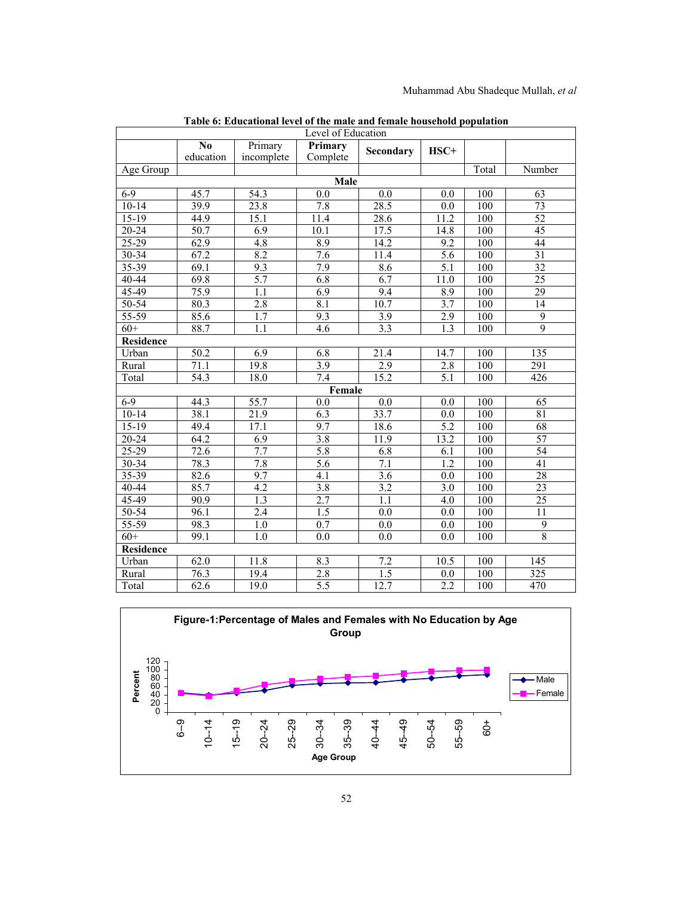| Level of Education |                   |                   |                   |                   |                  |                  |                  |  |  |
|--------------------|-------------------|-------------------|-------------------|-------------------|------------------|------------------|------------------|--|--|
|                    | N <sub>0</sub>    | Primary           | Primary           | Secondary         | HSC+             |                  |                  |  |  |
|                    | education         | incomplete        | Complete          |                   |                  |                  |                  |  |  |
| Age Group          |                   |                   |                   |                   |                  | Total            | Number           |  |  |
|                    |                   |                   | <b>Male</b>       |                   |                  |                  |                  |  |  |
| $6-9$              | 45.7              | 54.3              | 0.0               | 0.0               | 0.0              | 100              | 63               |  |  |
| $10 - 14$          | 39.9              | 23.8              | 7.8               | 28.5              | 0.0              | 100              | 73               |  |  |
| $15 - 19$          | 44.9              | 15.1              | $\overline{1}1.4$ | 28.6              | 11.2             | 100              | $\overline{52}$  |  |  |
| 20-24              | 50.7              | 6.9               | 10.1              | 17.5              | 14.8             | 100              | 45               |  |  |
| $25 - 29$          | 62.9              | 4.8               | 8.9               | 14.2              | 9.2              | 100              | 44               |  |  |
| 30-34              | 67.2              | 8.2               | 7.6               | 11.4              | 5.6              | 100              | 31               |  |  |
| $35 - 39$          | 69.1              | 9.3               | 7.9               | 8.6               | $\overline{5.1}$ | 100              | 32               |  |  |
| 40-44              | 69.8              | $\overline{5.7}$  | 6.8               | 6.7               | 11.0             | 100              | 25               |  |  |
| 45-49              | 75.9              | 1.1               | 6.9               | 9.4               | 8.9              | 100              | 29               |  |  |
| $50 - 54$          | 80.3              | 2.8               | 8.1               | 10.7              | 3.7              | 100              | 14               |  |  |
| $55 - 59$          | 85.6              | $\overline{1.7}$  | 9.3               | $\overline{3.9}$  | 2.9              | 100              | $\overline{9}$   |  |  |
| $60+$              | 88.7              | 1.1               | 4.6               | 3.3               | 1.3              | 100              | 9                |  |  |
|                    | <b>Residence</b>  |                   |                   |                   |                  |                  |                  |  |  |
| Urban              | $\overline{50.2}$ | 6.9               | 6.8               | 21.4              | 14.7             | 100              | 135              |  |  |
| Rural              | 71.1              | 19.8              | $\overline{3.9}$  | 2.9               | 2.8              | 100              | 291              |  |  |
| Total              | 54.3              | 18.0              | 7.4               | 15.2              | $\overline{5.1}$ | 100              | 426              |  |  |
|                    |                   |                   | Female            |                   |                  |                  |                  |  |  |
| $6-9$              | 44.3              | 55.7              | 0.0               | 0.0               | 0.0              | 100              | 65               |  |  |
| $10 - 14$          | 38.1              | $\overline{21.9}$ | $\overline{6.3}$  | 33.7              | 0.0              | 100              | $\overline{81}$  |  |  |
| $15-19$            | $\overline{49.4}$ | 17.1              | $\overline{9.7}$  | 18.6              | $\overline{5.2}$ | 100              | 68               |  |  |
| 20-24              | 64.2              | 6.9               | 3.8               | $\overline{1}1.9$ | 13.2             | 100              | $\overline{57}$  |  |  |
| $25 - 29$          | 72.6              | 7.7               | 5.8               | 6.8               | 6.1              | 100              | 54               |  |  |
| $30 - 34$          | 78.3              | 7.8               | 5.6               | 7.1               | $\overline{1.2}$ | 100              | $\overline{41}$  |  |  |
| 35-39              | 82.6              | 9.7               | $\overline{4.1}$  | 3.6               | $\overline{0.0}$ | 100              | 28               |  |  |
| $40 - 44$          | 85.7              | 4.2               | 3.8               | 3.2               | 3.0              | 100              | 23               |  |  |
| 45-49              | 90.9              | $\overline{1.3}$  | 2.7               | 1.1               | 4.0              | 100              | $\overline{25}$  |  |  |
| $50 - 54$          | 96.1              | 2.4               | $\overline{1.5}$  | 0.0               | 0.0              | 100              | $\overline{11}$  |  |  |
| $55 - 59$          | 98.3              | 1.0               | 0.7               | 0.0               | 0.0              | 100              | 9                |  |  |
| $60+$              | 99.1              | $\overline{1.0}$  | 0.0               | $\overline{0.0}$  | $\overline{0.0}$ | $\overline{100}$ | $\overline{8}$   |  |  |
| <b>Residence</b>   |                   |                   |                   |                   |                  |                  |                  |  |  |
| Urban              | 62.0              | 11.8              | 8.3               | 7.2               | 10.5             | 100              | 145              |  |  |
| Rural              | 76.3              | 19.4              | 2.8               | 1.5               | 0.0              | 100              | $\overline{325}$ |  |  |
| Total              | 62.6              | 19.0              | 5.5               | 12.7              | 2.2              | 100              | 470              |  |  |

**Table 6: Educational level of the male and female household population**

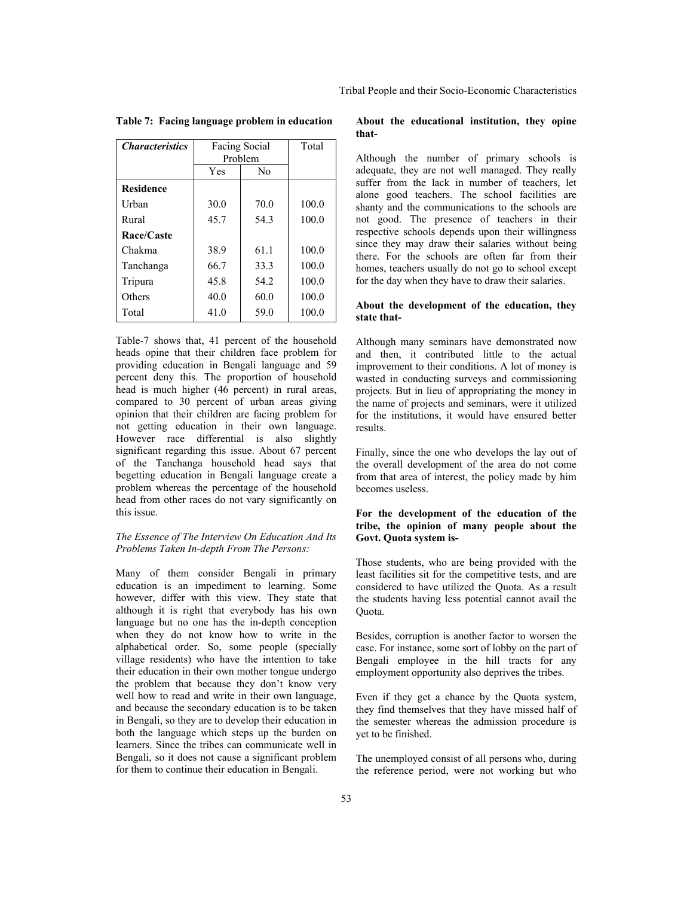| Tribal People and their Socio-Economic Characteristics |  |  |  |  |
|--------------------------------------------------------|--|--|--|--|
|--------------------------------------------------------|--|--|--|--|

| <i><b>Characteristics</b></i> | Facing Social<br>Problem |                | Total |
|-------------------------------|--------------------------|----------------|-------|
|                               | Yes                      | N <sub>0</sub> |       |
| <b>Residence</b>              |                          |                |       |
| Urban                         | 30.0                     | 70.0           | 100.0 |
| Rural                         | 45.7                     | 543            | 100.0 |
| Race/Caste                    |                          |                |       |
| Chakma                        | 38.9                     | 61.1           | 100.0 |
| Tanchanga                     | 66.7                     | 33.3           | 100.0 |
| Tripura                       | 45.8                     | 54.2           | 100.0 |
| Others                        | 40.0                     | 60.0           | 100.0 |
| Total                         | 41.0                     | 59.0           | 100.0 |

**Table 7: Facing language problem in education** 

Table-7 shows that, 41 percent of the household heads opine that their children face problem for providing education in Bengali language and 59 percent deny this. The proportion of household head is much higher (46 percent) in rural areas, compared to 30 percent of urban areas giving opinion that their children are facing problem for not getting education in their own language. However race differential is also slightly significant regarding this issue. About 67 percent of the Tanchanga household head says that begetting education in Bengali language create a problem whereas the percentage of the household head from other races do not vary significantly on this issue.

### *The Essence of The Interview On Education And Its Problems Taken In-depth From The Persons:*

Many of them consider Bengali in primary education is an impediment to learning. Some however, differ with this view. They state that although it is right that everybody has his own language but no one has the in-depth conception when they do not know how to write in the alphabetical order. So, some people (specially village residents) who have the intention to take their education in their own mother tongue undergo the problem that because they don't know very well how to read and write in their own language, and because the secondary education is to be taken in Bengali, so they are to develop their education in both the language which steps up the burden on learners. Since the tribes can communicate well in Bengali, so it does not cause a significant problem for them to continue their education in Bengali.

#### **About the educational institution, they opine that-**

Although the number of primary schools is adequate, they are not well managed. They really suffer from the lack in number of teachers, let alone good teachers. The school facilities are shanty and the communications to the schools are not good. The presence of teachers in their respective schools depends upon their willingness since they may draw their salaries without being there. For the schools are often far from their homes, teachers usually do not go to school except for the day when they have to draw their salaries.

## **About the development of the education, they state that-**

Although many seminars have demonstrated now and then, it contributed little to the actual improvement to their conditions. A lot of money is wasted in conducting surveys and commissioning projects. But in lieu of appropriating the money in the name of projects and seminars, were it utilized for the institutions, it would have ensured better results.

Finally, since the one who develops the lay out of the overall development of the area do not come from that area of interest, the policy made by him becomes useless.

## **For the development of the education of the tribe, the opinion of many people about the Govt. Quota system is-**

Those students, who are being provided with the least facilities sit for the competitive tests, and are considered to have utilized the Quota. As a result the students having less potential cannot avail the Quota.

Besides, corruption is another factor to worsen the case. For instance, some sort of lobby on the part of Bengali employee in the hill tracts for any employment opportunity also deprives the tribes.

Even if they get a chance by the Quota system, they find themselves that they have missed half of the semester whereas the admission procedure is yet to be finished.

The unemployed consist of all persons who, during the reference period, were not working but who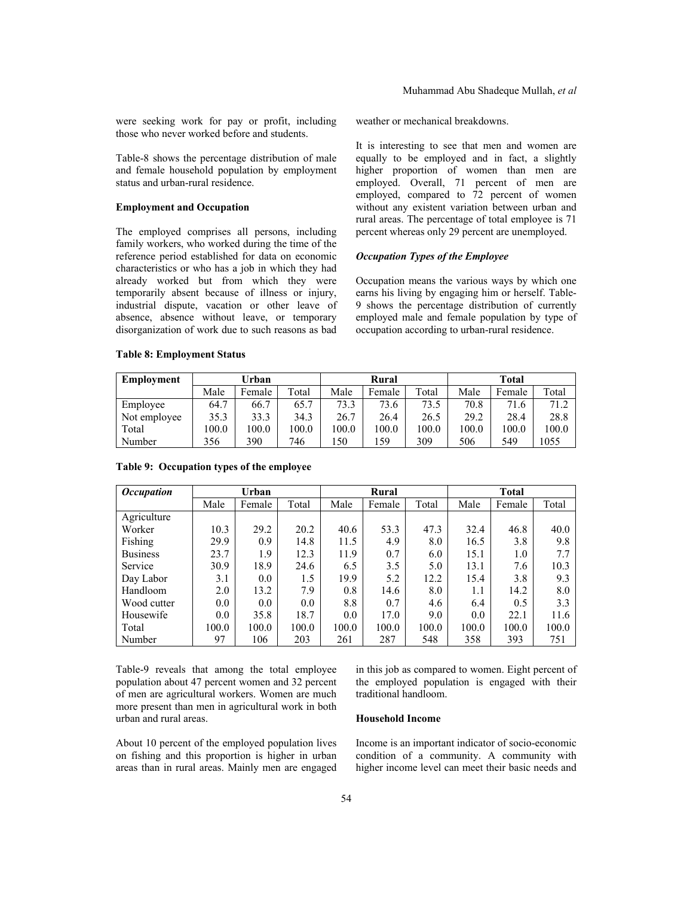were seeking work for pay or profit, including those who never worked before and students.

Table-8 shows the percentage distribution of male and female household population by employment status and urban-rural residence.

### **Employment and Occupation**

The employed comprises all persons, including family workers, who worked during the time of the reference period established for data on economic characteristics or who has a job in which they had already worked but from which they were temporarily absent because of illness or injury, industrial dispute, vacation or other leave of absence, absence without leave, or temporary disorganization of work due to such reasons as bad

weather or mechanical breakdowns.

It is interesting to see that men and women are equally to be employed and in fact, a slightly higher proportion of women than men are employed. Overall, 71 percent of men are employed, compared to 72 percent of women without any existent variation between urban and rural areas. The percentage of total employee is 71 percent whereas only 29 percent are unemployed.

## *Occupation Types of the Employee*

Occupation means the various ways by which one earns his living by engaging him or herself. Table-9 shows the percentage distribution of currently employed male and female population by type of occupation according to urban-rural residence.

| Employment   | Urban |        |                        | Rural |        |       | <b>Total</b> |        |       |
|--------------|-------|--------|------------------------|-------|--------|-------|--------------|--------|-------|
|              | Male  | Female | $\tau$ <sub>otal</sub> | Male  | Female | Total | Male         | Female | Total |
| Employee     | 64.7  | 66.7   | 65.7                   | 73.3  | 73.6   | 73.5  | 70.8         | 71.6   | 71.2  |
| Not employee | 35.3  | 33.3   | 34.3                   | 26.7  | 26.4   | 26.5  | 29.2         | 28.4   | 28.8  |
| Total        | 100.0 | 100.0  | 100.0                  | 0.001 | 100.0  | 100.0 | 100.0        | 100.0  | 100.0 |
| Number       | 356   | 390    | 746                    | .50   | .59    | 309   | 506          | 549    | 1055  |

## **Table 8: Employment Status**

| <i><b>Occupation</b></i> |       | Urban  |       |       | Rural  |       |         | <b>Total</b> |       |
|--------------------------|-------|--------|-------|-------|--------|-------|---------|--------------|-------|
|                          | Male  | Female | Total | Male  | Female | Total | Male    | Female       | Total |
| Agriculture              |       |        |       |       |        |       |         |              |       |
| Worker                   | 10.3  | 29.2   | 20.2  | 40.6  | 53.3   | 47.3  | 32.4    | 46.8         | 40.0  |
| Fishing                  | 29.9  | 0.9    | 14.8  | 11.5  | 4.9    | 8.0   | 16.5    | 3.8          | 9.8   |
| <b>Business</b>          | 23.7  | 1.9    | 12.3  | 11.9  | 0.7    | 6.0   | 15.1    | 1.0          | 7.7   |
| Service                  | 30.9  | 18.9   | 24.6  | 6.5   | 3.5    | 5.0   | 13.1    | 7.6          | 10.3  |
| Day Labor                | 3.1   | 0.0    | 1.5   | 19.9  | 5.2    | 12.2  | 15.4    | 3.8          | 9.3   |
| Handloom                 | 2.0   | 13.2   | 7.9   | 0.8   | 14.6   | 8.0   | $1.1\,$ | 14.2         | 8.0   |
| Wood cutter              | 0.0   | 0.0    | 0.0   | 8.8   | 0.7    | 4.6   | 6.4     | 0.5          | 3.3   |
| Housewife                | 0.0   | 35.8   | 18.7  | 0.0   | 17.0   | 9.0   | 0.0     | 22.1         | 11.6  |
| Total                    | 100.0 | 100.0  | 100.0 | 100.0 | 100.0  | 100.0 | 100.0   | 100.0        | 100.0 |
| Number                   | 97    | 106    | 203   | 261   | 287    | 548   | 358     | 393          | 751   |

## **Table 9: Occupation types of the employee**

Table-9 reveals that among the total employee population about 47 percent women and 32 percent of men are agricultural workers. Women are much more present than men in agricultural work in both urban and rural areas.

About 10 percent of the employed population lives on fishing and this proportion is higher in urban areas than in rural areas. Mainly men are engaged

in this job as compared to women. Eight percent of the employed population is engaged with their traditional handloom.

## **Household Income**

Income is an important indicator of socio-economic condition of a community. A community with higher income level can meet their basic needs and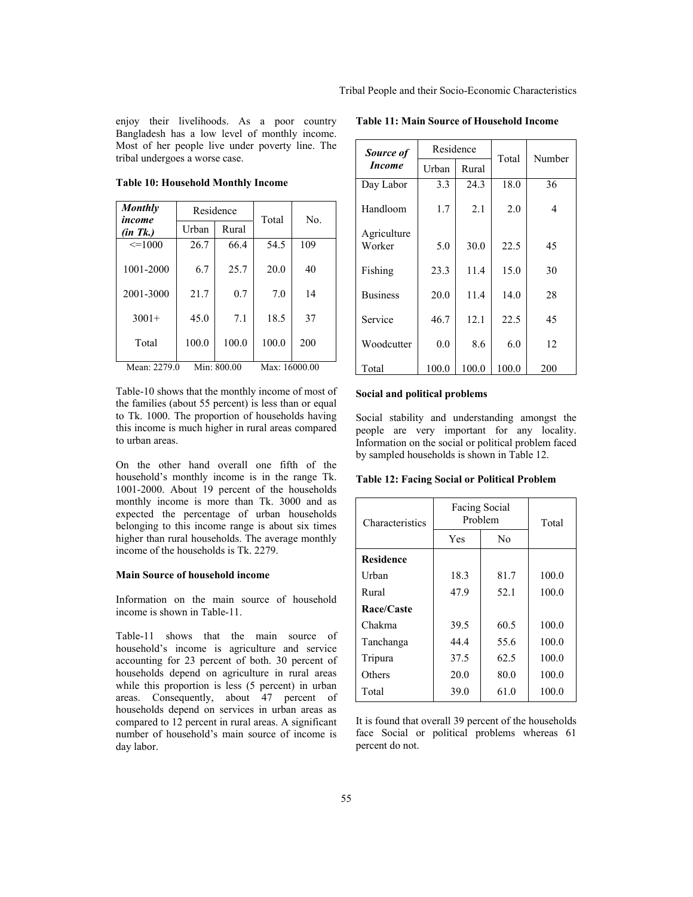enjoy their livelihoods. As a poor country Bangladesh has a low level of monthly income. Most of her people live under poverty line. The tribal undergoes a worse case.

**Table 10: Household Monthly Income** 

| <b>Monthly</b><br>income | Residence |             | Total         | N <sub>0</sub> |
|--------------------------|-----------|-------------|---------------|----------------|
| (in Tk.)                 | Urban     | Rural       |               |                |
| $\leq$ =1000             | 26.7      | 66.4        | 54.5          | 109            |
| 1001-2000                | 6.7       | 25.7        | 20.0          | 40             |
| 2001-3000                | 21.7      | 0.7         | 7.0           | 14             |
| $3001+$                  | 45.0      | 7.1         | 18.5          | 37             |
| Total                    | 100.0     | 100.0       | 100.0         | 200            |
| Mean: 2279.0             |           | Min: 800.00 | Max: 16000.00 |                |

Table-10 shows that the monthly income of most of the families (about 55 percent) is less than or equal to Tk. 1000. The proportion of households having this income is much higher in rural areas compared to urban areas.

On the other hand overall one fifth of the household's monthly income is in the range Tk. 1001-2000. About 19 percent of the households monthly income is more than Tk. 3000 and as expected the percentage of urban households belonging to this income range is about six times higher than rural households. The average monthly income of the households is Tk. 2279.

#### **Main Source of household income**

Information on the main source of household income is shown in Table-11.

Table-11 shows that the main source of household's income is agriculture and service accounting for 23 percent of both. 30 percent of households depend on agriculture in rural areas while this proportion is less (5 percent) in urban areas. Consequently, about 47 percent of households depend on services in urban areas as compared to 12 percent in rural areas. A significant number of household's main source of income is day labor.

| Source of             | Residence |       | Total | Number |
|-----------------------|-----------|-------|-------|--------|
| <i>Income</i>         | Urban     | Rural |       |        |
| Day Labor             | 3.3       | 24.3  | 18.0  | 36     |
| Handloom              | 1.7       | 2.1   | 2.0   | 4      |
| Agriculture<br>Worker | 5.0       | 30.0  | 22.5  | 45     |
| Fishing               | 23.3      | 11.4  | 15.0  | 30     |
| <b>Business</b>       | 20.0      | 11.4  | 140   | 28     |
| Service               | 46.7      | 12.1  | 22.5  | 45     |
| Woodcutter            | 0.0       | 8.6   | 6.0   | 12     |
| Total                 | 100.0     | 100.0 | 100.0 | 200    |

### **Table 11: Main Source of Household Income**

**Social and political problems** 

Social stability and understanding amongst the people are very important for any locality. Information on the social or political problem faced by sampled households is shown in Table 12.

**Table 12: Facing Social or Political Problem** 

| Characteristics  | Facing Social<br>Problem | Total          |       |  |
|------------------|--------------------------|----------------|-------|--|
|                  | Yes                      | N <sub>0</sub> |       |  |
| <b>Residence</b> |                          |                |       |  |
| Urban            | 18.3                     | 81.7           | 100.0 |  |
| Rural            | 47.9                     | 52.1           | 100.0 |  |
| Race/Caste       |                          |                |       |  |
| Chakma           | 39.5                     | 60.5           | 100.0 |  |
| Tanchanga        | 44.4                     | 55.6           | 100.0 |  |
| Tripura          | 37.5                     | 62.5           | 100.0 |  |
| Others           | 20.0                     | 80.0           | 100.0 |  |
| Total            | 39.0                     | 61.0           | 100.0 |  |

It is found that overall 39 percent of the households face Social or political problems whereas 61 percent do not.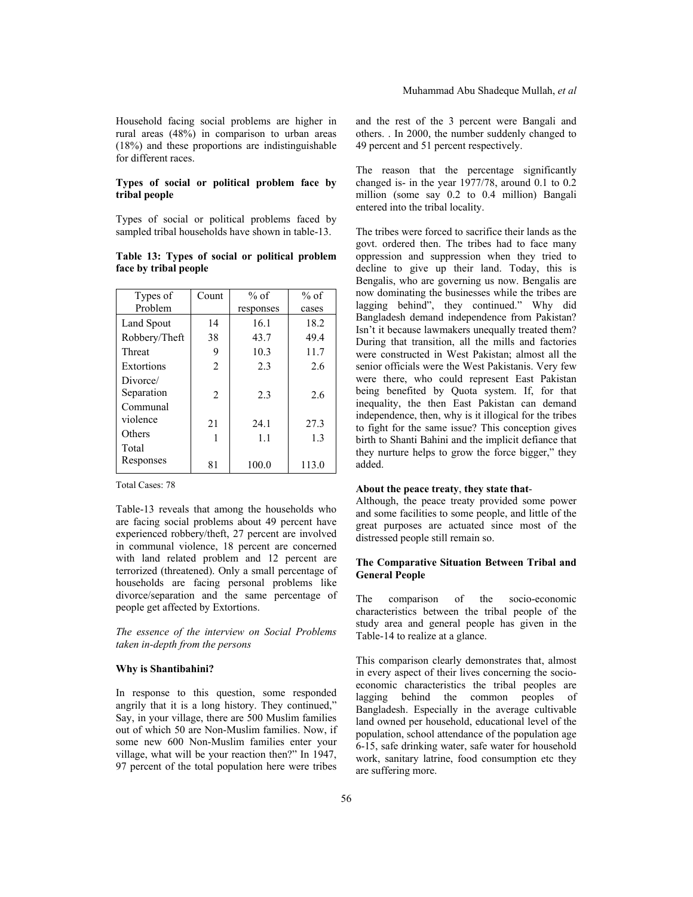Household facing social problems are higher in rural areas (48%) in comparison to urban areas (18%) and these proportions are indistinguishable for different races.

### **Types of social or political problem face by tribal people**

Types of social or political problems faced by sampled tribal households have shown in table-13.

|  |                       |  |  | Table 13: Types of social or political problem |
|--|-----------------------|--|--|------------------------------------------------|
|  | face by tribal people |  |  |                                                |

| Types of      | Count          | $%$ of    | $%$ of |
|---------------|----------------|-----------|--------|
| Problem       |                | responses | cases  |
| Land Spout    | 14             | 16.1      | 18.2   |
| Robbery/Theft | 38             | 43.7      | 49.4   |
| Threat        | 9              | 10.3      | 11.7   |
| Extortions    | $\mathfrak{D}$ | 2.3       | 2.6    |
| Divorce/      |                |           |        |
| Separation    | $\overline{2}$ | 2.3       | 2.6    |
| Communal      |                |           |        |
| violence      | 21             | 24.1      | 27.3   |
| Others        | 1              | 1.1       | 13     |
| Total         |                |           |        |
| Responses     | 81             | 100.0     | 113.0  |

Total Cases: 78

Table-13 reveals that among the households who are facing social problems about 49 percent have experienced robbery/theft, 27 percent are involved in communal violence, 18 percent are concerned with land related problem and 12 percent are terrorized (threatened). Only a small percentage of households are facing personal problems like divorce/separation and the same percentage of people get affected by Extortions.

*The essence of the interview on Social Problems taken in-depth from the persons* 

## **Why is Shantibahini?**

In response to this question, some responded angrily that it is a long history. They continued," Say, in your village, there are 500 Muslim families out of which 50 are Non-Muslim families. Now, if some new 600 Non-Muslim families enter your village, what will be your reaction then?" In 1947, 97 percent of the total population here were tribes

and the rest of the 3 percent were Bangali and others. . In 2000, the number suddenly changed to 49 percent and 51 percent respectively.

The reason that the percentage significantly changed is- in the year 1977/78, around 0.1 to 0.2 million (some say 0.2 to 0.4 million) Bangali entered into the tribal locality.

The tribes were forced to sacrifice their lands as the govt. ordered then. The tribes had to face many oppression and suppression when they tried to decline to give up their land. Today, this is Bengalis, who are governing us now. Bengalis are now dominating the businesses while the tribes are lagging behind", they continued." Why did Bangladesh demand independence from Pakistan? Isn't it because lawmakers unequally treated them? During that transition, all the mills and factories were constructed in West Pakistan; almost all the senior officials were the West Pakistanis. Very few were there, who could represent East Pakistan being benefited by Quota system. If, for that inequality, the then East Pakistan can demand independence, then, why is it illogical for the tribes to fight for the same issue? This conception gives birth to Shanti Bahini and the implicit defiance that they nurture helps to grow the force bigger," they added.

#### **About the peace treaty**, **they state that**-

Although, the peace treaty provided some power and some facilities to some people, and little of the great purposes are actuated since most of the distressed people still remain so.

## **The Comparative Situation Between Tribal and General People**

The comparison of the socio-economic characteristics between the tribal people of the study area and general people has given in the Table-14 to realize at a glance.

This comparison clearly demonstrates that, almost in every aspect of their lives concerning the socioeconomic characteristics the tribal peoples are lagging behind the common peoples of Bangladesh. Especially in the average cultivable land owned per household, educational level of the population, school attendance of the population age 6-15, safe drinking water, safe water for household work, sanitary latrine, food consumption etc they are suffering more.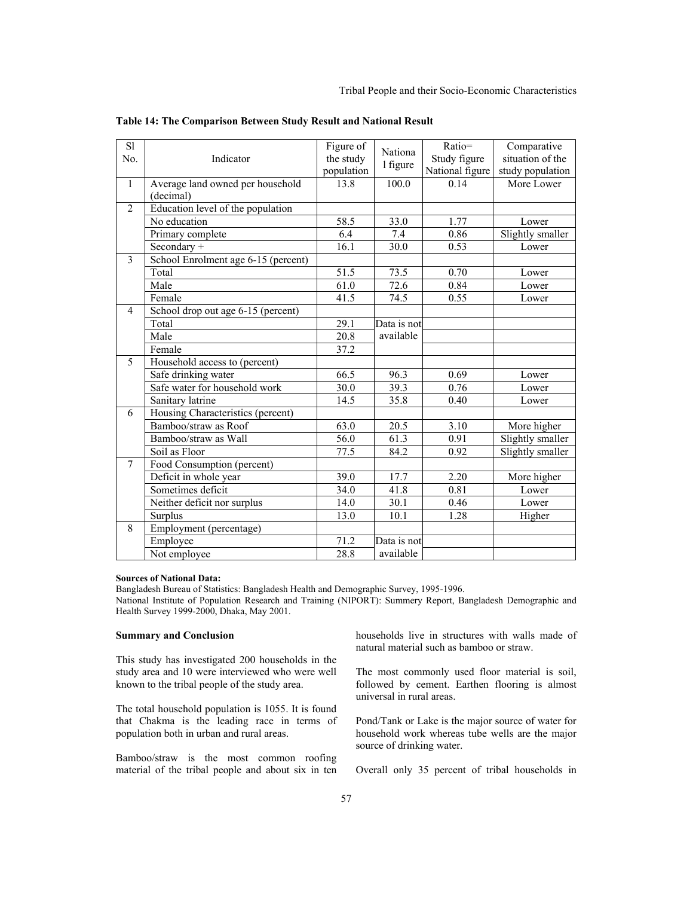| S1             |                                     | Figure of  | Nationa     | Ratio=          | Comparative      |
|----------------|-------------------------------------|------------|-------------|-----------------|------------------|
| No.            | Indicator                           | the study  | 1 figure    | Study figure    | situation of the |
|                |                                     | population |             | National figure | study population |
| $\mathbf{1}$   | Average land owned per household    | 13.8       | 100.0       | 0.14            | More Lower       |
|                | (decimal)                           |            |             |                 |                  |
| $\overline{2}$ | Education level of the population   |            |             |                 |                  |
|                | No education                        | 58.5       | 33.0        | 1.77            | Lower            |
|                | Primary complete                    | 6.4        | 7.4         | 0.86            | Slightly smaller |
|                | Secondary +                         | 16.1       | 30.0        | 0.53            | Lower            |
| $\overline{3}$ | School Enrolment age 6-15 (percent) |            |             |                 |                  |
|                | Total                               | 51.5       | 73.5        | 0.70            | Lower            |
|                | Male                                | 61.0       | 72.6        | 0.84            | Lower            |
|                | Female                              | 41.5       | 74.5        | 0.55            | Lower            |
| 4              | School drop out age 6-15 (percent)  |            |             |                 |                  |
|                | Total                               | 29.1       | Data is not |                 |                  |
|                | Male                                | 20.8       | available   |                 |                  |
|                | Female                              | 37.2       |             |                 |                  |
| 5              | Household access to (percent)       |            |             |                 |                  |
|                | Safe drinking water                 | 66.5       | 96.3        | 0.69            | Lower            |
|                | Safe water for household work       | 30.0       | 39.3        | 0.76            | Lower            |
|                | Sanitary latrine                    | 14.5       | 35.8        | 0.40            | Lower            |
| 6              | Housing Characteristics (percent)   |            |             |                 |                  |
|                | Bamboo/straw as Roof                | 63.0       | 20.5        | 3.10            | More higher      |
|                | Bamboo/straw as Wall                | 56.0       | 61.3        | 0.91            | Slightly smaller |
|                | Soil as Floor                       | 77.5       | 84.2        | 0.92            | Slightly smaller |
| $\overline{7}$ | Food Consumption (percent)          |            |             |                 |                  |
|                | Deficit in whole year               | 39.0       | 17.7        | 2.20            | More higher      |
|                | Sometimes deficit                   | 34.0       | 41.8        | 0.81            | Lower            |
|                | Neither deficit nor surplus         | 14.0       | 30.1        | 0.46            | Lower            |
|                | Surplus                             | 13.0       | 10.1        | 1.28            | Higher           |
| 8              | Employment (percentage)             |            |             |                 |                  |
|                | Employee                            | 71.2       | Data is not |                 |                  |
|                | Not employee                        | 28.8       | available   |                 |                  |

**Table 14: The Comparison Between Study Result and National Result** 

#### **Sources of National Data:**

Bangladesh Bureau of Statistics: Bangladesh Health and Demographic Survey, 1995-1996. National Institute of Population Research and Training (NIPORT): Summery Report, Bangladesh Demographic and Health Survey 1999-2000, Dhaka, May 2001.

## **Summary and Conclusion**

This study has investigated 200 households in the study area and 10 were interviewed who were well known to the tribal people of the study area.

The total household population is 1055. It is found that Chakma is the leading race in terms of population both in urban and rural areas.

Bamboo/straw is the most common roofing material of the tribal people and about six in ten households live in structures with walls made of natural material such as bamboo or straw.

The most commonly used floor material is soil, followed by cement. Earthen flooring is almost universal in rural areas.

Pond/Tank or Lake is the major source of water for household work whereas tube wells are the major source of drinking water.

Overall only 35 percent of tribal households in